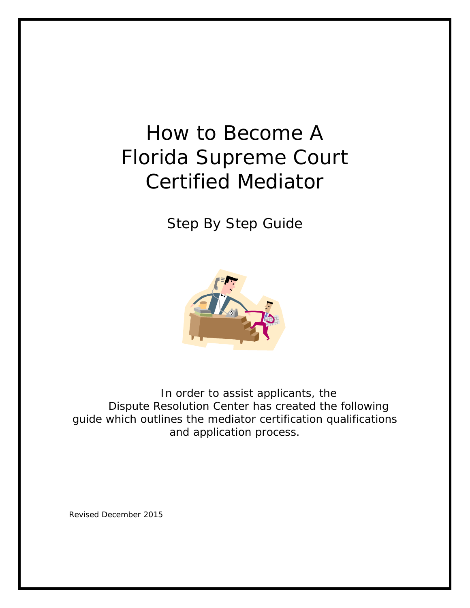# How to Become A Florida Supreme Court Certified Mediator

Step By Step Guide



In order to assist applicants, the Dispute Resolution Center has created the following guide which outlines the mediator certification qualifications and application process.

Revised December 2015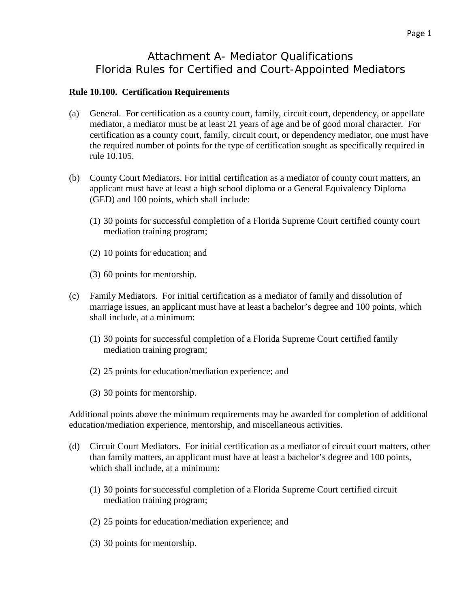# Attachment A- Mediator Qualifications Florida Rules for Certified and Court-Appointed Mediators

### **Rule 10.100. Certification Requirements**

- (a) General. For certification as a county court, family, circuit court, dependency, or appellate mediator, a mediator must be at least 21 years of age and be of good moral character. For certification as a county court, family, circuit court, or dependency mediator, one must have the required number of points for the type of certification sought as specifically required in rule 10.105.
- (b) County Court Mediators. For initial certification as a mediator of county court matters, an applicant must have at least a high school diploma or a General Equivalency Diploma (GED) and 100 points, which shall include:
	- (1) 30 points for successful completion of a Florida Supreme Court certified county court mediation training program;
	- (2) 10 points for education; and
	- (3) 60 points for mentorship.
- (c) Family Mediators. For initial certification as a mediator of family and dissolution of marriage issues, an applicant must have at least a bachelor's degree and 100 points, which shall include, at a minimum:
	- (1) 30 points for successful completion of a Florida Supreme Court certified family mediation training program;
	- (2) 25 points for education/mediation experience; and
	- (3) 30 points for mentorship.

Additional points above the minimum requirements may be awarded for completion of additional education/mediation experience, mentorship, and miscellaneous activities.

- (d) Circuit Court Mediators. For initial certification as a mediator of circuit court matters, other than family matters, an applicant must have at least a bachelor's degree and 100 points, which shall include, at a minimum:
	- (1) 30 points for successful completion of a Florida Supreme Court certified circuit mediation training program;
	- (2) 25 points for education/mediation experience; and
	- (3) 30 points for mentorship.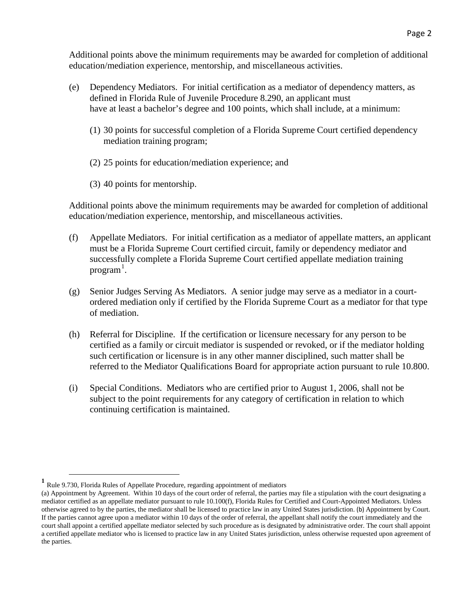Additional points above the minimum requirements may be awarded for completion of additional education/mediation experience, mentorship, and miscellaneous activities.

- (e) Dependency Mediators. For initial certification as a mediator of dependency matters, as defined in Florida Rule of Juvenile Procedure 8.290, an applicant must have at least a bachelor's degree and 100 points, which shall include, at a minimum:
	- (1) 30 points for successful completion of a Florida Supreme Court certified dependency mediation training program;
	- (2) 25 points for education/mediation experience; and
	- (3) 40 points for mentorship.

Additional points above the minimum requirements may be awarded for completion of additional education/mediation experience, mentorship, and miscellaneous activities.

- (f) Appellate Mediators. For initial certification as a mediator of appellate matters, an applicant must be a Florida Supreme Court certified circuit, family or dependency mediator and successfully complete a Florida Supreme Court certified appellate mediation training program<sup>[1](#page-2-0)</sup>.
- (g) Senior Judges Serving As Mediators. A senior judge may serve as a mediator in a courtordered mediation only if certified by the Florida Supreme Court as a mediator for that type of mediation.
- (h) Referral for Discipline. If the certification or licensure necessary for any person to be certified as a family or circuit mediator is suspended or revoked, or if the mediator holding such certification or licensure is in any other manner disciplined, such matter shall be referred to the Mediator Qualifications Board for appropriate action pursuant to rule 10.800.
- (i) Special Conditions. Mediators who are certified prior to August 1, 2006, shall not be subject to the point requirements for any category of certification in relation to which continuing certification is maintained.

<span id="page-2-0"></span>**<sup>1</sup>** Rule 9.730, Florida Rules of Appellate Procedure, regarding appointment of mediators

<sup>(</sup>a) Appointment by Agreement. Within 10 days of the court order of referral, the parties may file a stipulation with the court designating a mediator certified as an appellate mediator pursuant to rule 10.100(f), Florida Rules for Certified and Court-Appointed Mediators. Unless otherwise agreed to by the parties, the mediator shall be licensed to practice law in any United States jurisdiction. (b) Appointment by Court. If the parties cannot agree upon a mediator within 10 days of the order of referral, the appellant shall notify the court immediately and the court shall appoint a certified appellate mediator selected by such procedure as is designated by administrative order. The court shall appoint a certified appellate mediator who is licensed to practice law in any United States jurisdiction, unless otherwise requested upon agreement of the parties.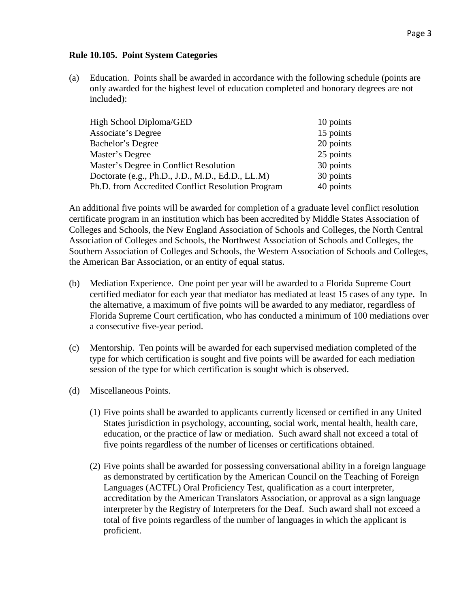#### **Rule 10.105. Point System Categories**

(a) Education. Points shall be awarded in accordance with the following schedule (points are only awarded for the highest level of education completed and honorary degrees are not included):

| High School Diploma/GED                           | 10 points |
|---------------------------------------------------|-----------|
| <b>Associate's Degree</b>                         | 15 points |
| <b>Bachelor's Degree</b>                          | 20 points |
| Master's Degree                                   | 25 points |
| Master's Degree in Conflict Resolution            | 30 points |
| Doctorate (e.g., Ph.D., J.D., M.D., Ed.D., LL.M)  | 30 points |
| Ph.D. from Accredited Conflict Resolution Program | 40 points |

An additional five points will be awarded for completion of a graduate level conflict resolution certificate program in an institution which has been accredited by Middle States Association of Colleges and Schools, the New England Association of Schools and Colleges, the North Central Association of Colleges and Schools, the Northwest Association of Schools and Colleges, the Southern Association of Colleges and Schools, the Western Association of Schools and Colleges, the American Bar Association, or an entity of equal status.

- (b) Mediation Experience. One point per year will be awarded to a Florida Supreme Court certified mediator for each year that mediator has mediated at least 15 cases of any type. In the alternative, a maximum of five points will be awarded to any mediator, regardless of Florida Supreme Court certification, who has conducted a minimum of 100 mediations over a consecutive five-year period.
- (c) Mentorship. Ten points will be awarded for each supervised mediation completed of the type for which certification is sought and five points will be awarded for each mediation session of the type for which certification is sought which is observed.
- (d) Miscellaneous Points.
	- (1) Five points shall be awarded to applicants currently licensed or certified in any United States jurisdiction in psychology, accounting, social work, mental health, health care, education, or the practice of law or mediation. Such award shall not exceed a total of five points regardless of the number of licenses or certifications obtained.
	- (2) Five points shall be awarded for possessing conversational ability in a foreign language as demonstrated by certification by the American Council on the Teaching of Foreign Languages (ACTFL) Oral Proficiency Test, qualification as a court interpreter, accreditation by the American Translators Association, or approval as a sign language interpreter by the Registry of Interpreters for the Deaf. Such award shall not exceed a total of five points regardless of the number of languages in which the applicant is proficient.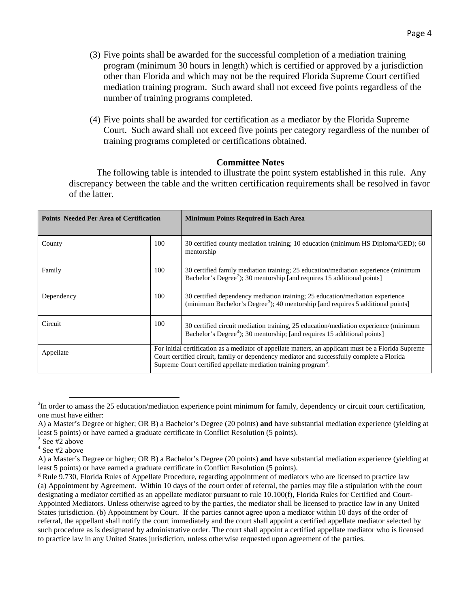- (3) Five points shall be awarded for the successful completion of a mediation training program (minimum 30 hours in length) which is certified or approved by a jurisdiction other than Florida and which may not be the required Florida Supreme Court certified mediation training program. Such award shall not exceed five points regardless of the number of training programs completed.
- (4) Five points shall be awarded for certification as a mediator by the Florida Supreme Court. Such award shall not exceed five points per category regardless of the number of training programs completed or certifications obtained.

#### **Committee Notes**

The following table is intended to illustrate the point system established in this rule. Any discrepancy between the table and the written certification requirements shall be resolved in favor of the latter.

| <b>Points Needed Per Area of Certification</b> |     | <b>Minimum Points Required in Each Area</b>                                                                                                                                                                                                                                       |  |
|------------------------------------------------|-----|-----------------------------------------------------------------------------------------------------------------------------------------------------------------------------------------------------------------------------------------------------------------------------------|--|
| County                                         | 100 | 30 certified county mediation training; 10 education (minimum HS Diploma/GED); 60<br>mentorship                                                                                                                                                                                   |  |
| Family                                         | 100 | 30 certified family mediation training; 25 education/mediation experience (minimum<br>Bachelor's Degree <sup>2</sup> ); 30 mentorship [and requires 15 additional points]                                                                                                         |  |
| Dependency                                     | 100 | 30 certified dependency mediation training; 25 education/mediation experience<br>(minimum Bachelor's Degree <sup>3</sup> ); 40 mentorship [and requires 5 additional points]                                                                                                      |  |
| Circuit                                        | 100 | 30 certified circuit mediation training, 25 education/mediation experience (minimum<br>Bachelor's Degree <sup>4</sup> ); 30 mentorship; [and requires 15 additional points]                                                                                                       |  |
| Appellate                                      |     | For initial certification as a mediator of appellate matters, an applicant must be a Florida Supreme<br>Court certified circuit, family or dependency mediator and successfully complete a Florida<br>Supreme Court certified appellate mediation training program <sup>5</sup> . |  |

<span id="page-4-0"></span><sup>&</sup>lt;sup>2</sup>In order to amass the 25 education/mediation experience point minimum for family, dependency or circuit court certification, one must have either:

A) a Master's Degree or higher; OR B) a Bachelor's Degree (20 points) **and** have substantial mediation experience (yielding at least 5 points) or have earned a graduate certificate in Conflict Resolution (5 points). <sup>3</sup> See #2 above

<span id="page-4-1"></span>

<span id="page-4-2"></span> $^4$  See #2 above  $\,$ 

A) a Master's Degree or higher; OR B) a Bachelor's Degree (20 points) **and** have substantial mediation experience (yielding at least 5 points) or have earned a graduate certificate in Conflict Resolution (5 points).

<span id="page-4-3"></span>**<sup>5</sup>** Rule 9.730, Florida Rules of Appellate Procedure, regarding appointment of mediators who are licensed to practice law (a) Appointment by Agreement.Within 10 days of the court order of referral, the parties may file a stipulation with the court designating a mediator certified as an appellate mediator pursuant to rule 10.100(f), Florida Rules for Certified and Court-Appointed Mediators. Unless otherwise agreed to by the parties, the mediator shall be licensed to practice law in any United States jurisdiction. (b) Appointment by Court. If the parties cannot agree upon a mediator within 10 days of the order of referral, the appellant shall notify the court immediately and the court shall appoint a certified appellate mediator selected by such procedure as is designated by administrative order. The court shall appoint a certified appellate mediator who is licensed to practice law in any United States jurisdiction, unless otherwise requested upon agreement of the parties.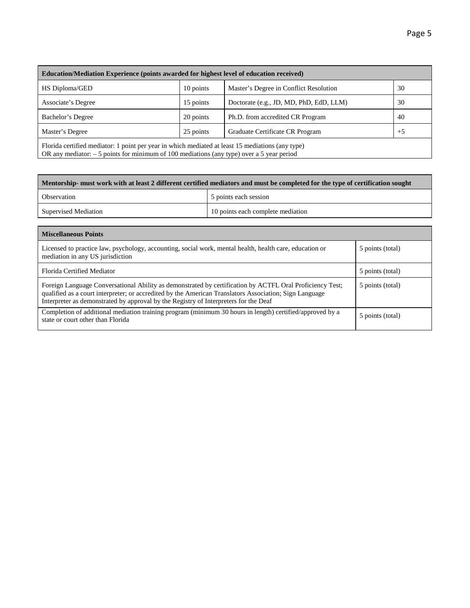| Education/Mediation Experience (points awarded for highest level of education received) |           |                                         |      |
|-----------------------------------------------------------------------------------------|-----------|-----------------------------------------|------|
| HS Diploma/GED                                                                          | 10 points | Master's Degree in Conflict Resolution  | 30   |
| Associate's Degree                                                                      | 15 points | Doctorate (e.g., JD, MD, PhD, EdD, LLM) | 30   |
| Bachelor's Degree                                                                       | 20 points | Ph.D. from accredited CR Program        | 40   |
| Master's Degree                                                                         | 25 points | Graduate Certificate CR Program         | $+5$ |
| —————————————————————————                                                               |           |                                         |      |

Florida certified mediator: 1 point per year in which mediated at least 15 mediations (any type) OR any mediator: – 5 points for minimum of 100 mediations (any type) over a 5 year period

| Mentorship- must work with at least 2 different certified mediators and must be completed for the type of certification sought |                                   |  |  |
|--------------------------------------------------------------------------------------------------------------------------------|-----------------------------------|--|--|
| <b>Observation</b>                                                                                                             | 5 points each session             |  |  |
| Supervised Mediation                                                                                                           | 10 points each complete mediation |  |  |

| <b>Miscellaneous Points</b>                                                                                                                                                                                                                                                                                |                  |
|------------------------------------------------------------------------------------------------------------------------------------------------------------------------------------------------------------------------------------------------------------------------------------------------------------|------------------|
| Licensed to practice law, psychology, accounting, social work, mental health, health care, education or<br>mediation in any US jurisdiction                                                                                                                                                                | 5 points (total) |
| Florida Certified Mediator                                                                                                                                                                                                                                                                                 | 5 points (total) |
| Foreign Language Conversational Ability as demonstrated by certification by ACTFL Oral Proficiency Test;<br>qualified as a court interpreter; or accredited by the American Translators Association; Sign Language<br>Interpreter as demonstrated by approval by the Registry of Interpreters for the Deaf | 5 points (total) |
| Completion of additional mediation training program (minimum 30 hours in length) certified/approved by a<br>state or court other than Florida                                                                                                                                                              | 5 points (total) |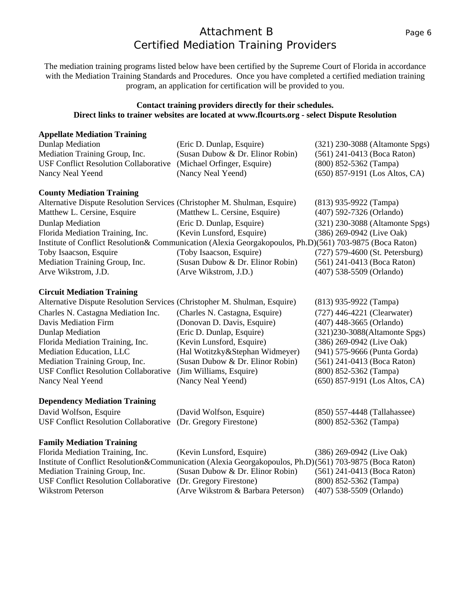# Attachment B Page 6 Certified Mediation Training Providers

The mediation training programs listed below have been certified by the Supreme Court of Florida in accordance with the Mediation Training Standards and Procedures. Once you have completed a certified mediation training program, an application for certification will be provided to you.

#### **Contact training providers directly for their schedules. Direct links to trainer websites are located at www.flcourts.org - select Dispute Resolution**

#### **Appellate Mediation Training**

| Dunlap Mediation                                                  | (Eric D. Dunlap, Esquire)        | $(321)$ 230-3088 (Altamonte Spgs) |
|-------------------------------------------------------------------|----------------------------------|-----------------------------------|
| Mediation Training Group, Inc.                                    | (Susan Dubow & Dr. Elinor Robin) | $(561)$ 241-0413 (Boca Raton)     |
| USF Conflict Resolution Collaborative (Michael Orfinger, Esquire) |                                  | $(800)$ 852-5362 (Tampa)          |
| Nancy Neal Yeend                                                  | (Nancy Neal Yeend)               | $(650)$ 857-9191 (Los Altos, CA)  |

#### **County Mediation Training**

| Alternative Dispute Resolution Services (Christopher M. Shulman, Esquire) |                                                                                                           | $(813)$ 935-9922 (Tampa)   |                                 |
|---------------------------------------------------------------------------|-----------------------------------------------------------------------------------------------------------|----------------------------|---------------------------------|
| Matthew L. Cersine, Esquire                                               | (Matthew L. Cersine, Esquire)                                                                             | (407) 592-7326 (Orlando)   |                                 |
| Dunlap Mediation                                                          | (Eric D. Dunlap, Esquire)                                                                                 |                            | (321) 230-3088 (Altamonte Spgs) |
| Florida Mediation Training, Inc.                                          | (Kevin Lunsford, Esquire)                                                                                 |                            | (386) 269-0942 (Live Oak)       |
|                                                                           | Institute of Conflict Resolution & Communication (Alexia Georgakopoulos, Ph.D)(561) 703-9875 (Boca Raton) |                            |                                 |
| Toby Isaacson, Esquire                                                    | (Toby Isaacson, Esquire)                                                                                  |                            | (727) 579-4600 (St. Petersburg) |
| Mediation Training Group, Inc.                                            | (Susan Dubow & Dr. Elinor Robin)                                                                          |                            | (561) 241-0413 (Boca Raton)     |
| Arve Wikstrom, J.D.                                                       | (Arve Wikstrom, J.D.)                                                                                     | $(407)$ 538-5509 (Orlando) |                                 |

#### **Circuit Mediation Training**

| Alternative Dispute Resolution Services (Christopher M. Shulman, Esquire) |                                  | $(813)$ 935-9922 (Tampa)         |
|---------------------------------------------------------------------------|----------------------------------|----------------------------------|
| Charles N. Castagna Mediation Inc.                                        | (Charles N. Castagna, Esquire)   | (727) 446-4221 (Clearwater)      |
| Davis Mediation Firm                                                      | (Donovan D. Davis, Esquire)      | $(407)$ 448-3665 (Orlando)       |
| Dunlap Mediation                                                          | (Eric D. Dunlap, Esquire)        | (321)230-3088(Altamonte Spgs)    |
| Florida Mediation Training, Inc.                                          | (Kevin Lunsford, Esquire)        | (386) 269-0942 (Live Oak)        |
| Mediation Education, LLC                                                  | (Hal Wotitzky&Stephan Widmeyer)  | (941) 575-9666 (Punta Gorda)     |
| Mediation Training Group, Inc.                                            | (Susan Dubow & Dr. Elinor Robin) | $(561)$ 241-0413 (Boca Raton)    |
| <b>USF Conflict Resolution Collaborative</b>                              | (Jim Williams, Esquire)          | $(800)$ 852-5362 (Tampa)         |
| Nancy Neal Yeend                                                          | (Nancy Neal Yeend)               | $(650)$ 857-9191 (Los Altos, CA) |
|                                                                           |                                  |                                  |

#### **Dependency Mediation Training**

| David Wolfson, Esquire                                        | (David Wolfson, Esquire) | (850) 557-4448 (Tallahassee) |
|---------------------------------------------------------------|--------------------------|------------------------------|
| USF Conflict Resolution Collaborative (Dr. Gregory Firestone) |                          | $(800)$ 852-5362 (Tampa)     |

#### **Family Mediation Training**

| Florida Mediation Training, Inc.                              | (Kevin Lunsford, Esquire)                                                                               | $(386)$ 269-0942 (Live Oak)   |
|---------------------------------------------------------------|---------------------------------------------------------------------------------------------------------|-------------------------------|
|                                                               | Institute of Conflict Resolution&Communication (Alexia Georgakopoulos, Ph.D)(561) 703-9875 (Boca Raton) |                               |
| Mediation Training Group, Inc.                                | (Susan Dubow $& Dr.$ Elinor Robin)                                                                      | $(561)$ 241-0413 (Boca Raton) |
| USF Conflict Resolution Collaborative (Dr. Gregory Firestone) |                                                                                                         | $(800)$ 852-5362 (Tampa)      |
| Wikstrom Peterson                                             | (Arve Wikstrom & Barbara Peterson)                                                                      | $(407)$ 538-5509 (Orlando)    |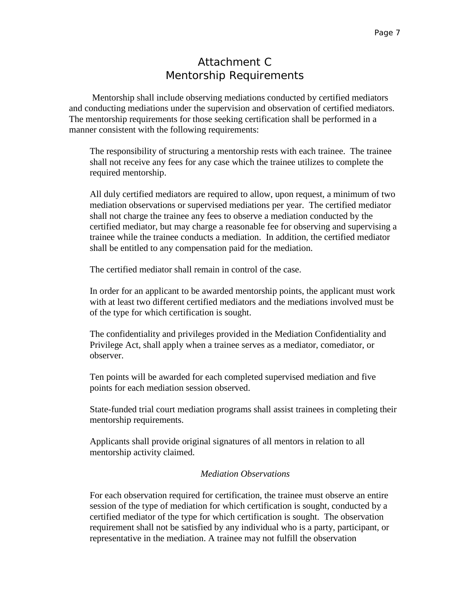Mentorship shall include observing mediations conducted by certified mediators and conducting mediations under the supervision and observation of certified mediators. The mentorship requirements for those seeking certification shall be performed in a manner consistent with the following requirements:

The responsibility of structuring a mentorship rests with each trainee. The trainee shall not receive any fees for any case which the trainee utilizes to complete the required mentorship.

All duly certified mediators are required to allow, upon request, a minimum of two mediation observations or supervised mediations per year. The certified mediator shall not charge the trainee any fees to observe a mediation conducted by the certified mediator, but may charge a reasonable fee for observing and supervising a trainee while the trainee conducts a mediation. In addition, the certified mediator shall be entitled to any compensation paid for the mediation.

The certified mediator shall remain in control of the case.

In order for an applicant to be awarded mentorship points, the applicant must work with at least two different certified mediators and the mediations involved must be of the type for which certification is sought.

The confidentiality and privileges provided in the Mediation Confidentiality and Privilege Act, shall apply when a trainee serves as a mediator, comediator, or observer.

Ten points will be awarded for each completed supervised mediation and five points for each mediation session observed.

State-funded trial court mediation programs shall assist trainees in completing their mentorship requirements.

Applicants shall provide original signatures of all mentors in relation to all mentorship activity claimed.

#### *Mediation Observations*

For each observation required for certification, the trainee must observe an entire session of the type of mediation for which certification is sought, conducted by a certified mediator of the type for which certification is sought. The observation requirement shall not be satisfied by any individual who is a party, participant, or representative in the mediation. A trainee may not fulfill the observation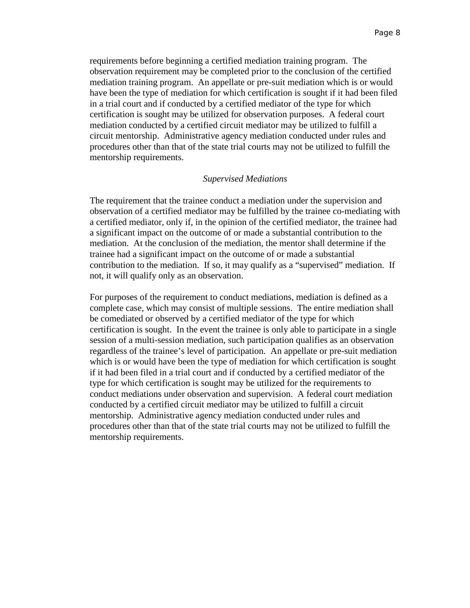requirements before beginning a certified mediation training program. The observation requirement may be completed prior to the conclusion of the certified mediation training program. An appellate or pre-suit mediation which is or would have been the type of mediation for which certification is sought if it had been filed in a trial court and if conducted by a certified mediator of the type for which certification is sought may be utilized for observation purposes. A federal court mediation conducted by a certified circuit mediator may be utilized to fulfill a circuit mentorship. Administrative agency mediation conducted under rules and procedures other than that of the state trial courts may not be utilized to fulfill the mentorship requirements.

#### *Supervised Mediations*

The requirement that the trainee conduct a mediation under the supervision and observation of a certified mediator may be fulfilled by the trainee co-mediating with a certified mediator, only if, in the opinion of the certified mediator, the trainee had a significant impact on the outcome of or made a substantial contribution to the mediation. At the conclusion of the mediation, the mentor shall determine if the trainee had a significant impact on the outcome of or made a substantial contribution to the mediation. If so, it may qualify as a "supervised" mediation. If not, it will qualify only as an observation.

For purposes of the requirement to conduct mediations, mediation is defined as a complete case, which may consist of multiple sessions. The entire mediation shall be comediated or observed by a certified mediator of the type for which certification is sought. In the event the trainee is only able to participate in a single session of a multi-session mediation, such participation qualifies as an observation regardless of the trainee's level of participation. An appellate or pre-suit mediation which is or would have been the type of mediation for which certification is sought if it had been filed in a trial court and if conducted by a certified mediator of the type for which certification is sought may be utilized for the requirements to conduct mediations under observation and supervision. A federal court mediation conducted by a certified circuit mediator may be utilized to fulfill a circuit mentorship. Administrative agency mediation conducted under rules and procedures other than that of the state trial courts may not be utilized to fulfill the mentorship requirements.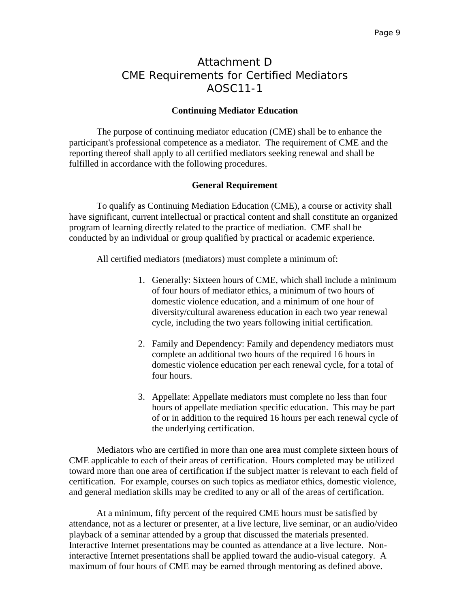# Attachment D CME Requirements for Certified Mediators AOSC11-1

#### **Continuing Mediator Education**

The purpose of continuing mediator education (CME) shall be to enhance the participant's professional competence as a mediator. The requirement of CME and the reporting thereof shall apply to all certified mediators seeking renewal and shall be fulfilled in accordance with the following procedures.

#### **General Requirement**

To qualify as Continuing Mediation Education (CME), a course or activity shall have significant, current intellectual or practical content and shall constitute an organized program of learning directly related to the practice of mediation. CME shall be conducted by an individual or group qualified by practical or academic experience.

All certified mediators (mediators) must complete a minimum of:

- 1. Generally: Sixteen hours of CME, which shall include a minimum of four hours of mediator ethics, a minimum of two hours of domestic violence education, and a minimum of one hour of diversity/cultural awareness education in each two year renewal cycle, including the two years following initial certification.
- 2. Family and Dependency: Family and dependency mediators must complete an additional two hours of the required 16 hours in domestic violence education per each renewal cycle, for a total of four hours.
- 3. Appellate: Appellate mediators must complete no less than four hours of appellate mediation specific education. This may be part of or in addition to the required 16 hours per each renewal cycle of the underlying certification.

Mediators who are certified in more than one area must complete sixteen hours of CME applicable to each of their areas of certification. Hours completed may be utilized toward more than one area of certification if the subject matter is relevant to each field of certification. For example, courses on such topics as mediator ethics, domestic violence, and general mediation skills may be credited to any or all of the areas of certification.

At a minimum, fifty percent of the required CME hours must be satisfied by attendance, not as a lecturer or presenter, at a live lecture, live seminar, or an audio/video playback of a seminar attended by a group that discussed the materials presented. Interactive Internet presentations may be counted as attendance at a live lecture. Noninteractive Internet presentations shall be applied toward the audio-visual category. A maximum of four hours of CME may be earned through mentoring as defined above.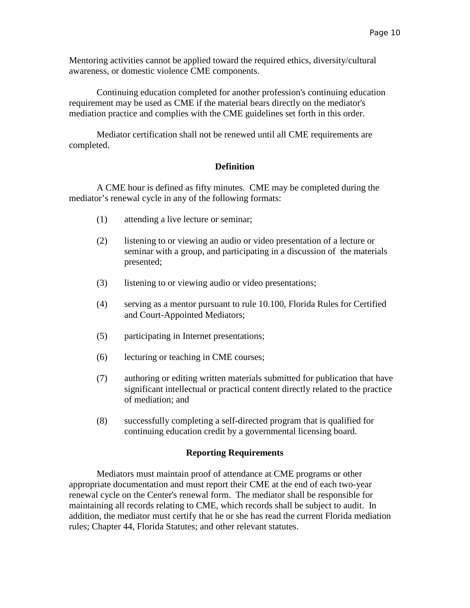Mentoring activities cannot be applied toward the required ethics, diversity/cultural awareness, or domestic violence CME components.

Continuing education completed for another profession's continuing education requirement may be used as CME if the material bears directly on the mediator's mediation practice and complies with the CME guidelines set forth in this order.

Mediator certification shall not be renewed until all CME requirements are completed.

#### **Definition**

A CME hour is defined as fifty minutes. CME may be completed during the mediator's renewal cycle in any of the following formats:

- (1) attending a live lecture or seminar;
- (2) listening to or viewing an audio or video presentation of a lecture or seminar with a group, and participating in a discussion of the materials presented;
- (3) listening to or viewing audio or video presentations;
- (4) serving as a mentor pursuant to rule 10.100, Florida Rules for Certified and Court-Appointed Mediators;
- (5) participating in Internet presentations;
- (6) lecturing or teaching in CME courses;
- (7) authoring or editing written materials submitted for publication that have significant intellectual or practical content directly related to the practice of mediation; and
- (8) successfully completing a self-directed program that is qualified for continuing education credit by a governmental licensing board.

#### **Reporting Requirements**

Mediators must maintain proof of attendance at CME programs or other appropriate documentation and must report their CME at the end of each two-year renewal cycle on the Center's renewal form. The mediator shall be responsible for maintaining all records relating to CME, which records shall be subject to audit. In addition, the mediator must certify that he or she has read the current Florida mediation rules; Chapter 44, Florida Statutes; and other relevant statutes.